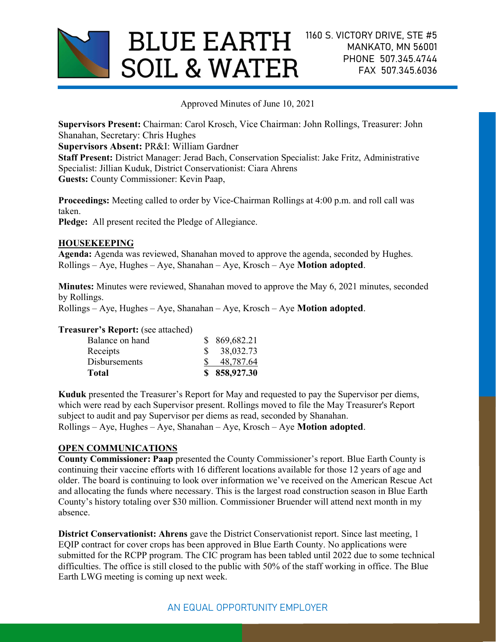

Approved Minutes of June 10, 2021

Supervisors Present: Chairman: Carol Krosch, Vice Chairman: John Rollings, Treasurer: John Shanahan, Secretary: Chris Hughes Supervisors Absent: PR&I: William Gardner

Staff Present: District Manager: Jerad Bach, Conservation Specialist: Jake Fritz, Administrative Specialist: Jillian Kuduk, District Conservationist: Ciara Ahrens Guests: County Commissioner: Kevin Paap,

Proceedings: Meeting called to order by Vice-Chairman Rollings at 4:00 p.m. and roll call was taken.

Pledge: All present recited the Pledge of Allegiance.

### HOUSEKEEPING

Agenda: Agenda was reviewed, Shanahan moved to approve the agenda, seconded by Hughes.  $Rollings - Aye$ , Hughes – Aye, Shanahan – Aye, Krosch – Aye **Motion adopted**.

Minutes: Minutes were reviewed, Shanahan moved to approve the May 6, 2021 minutes, seconded by Rollings.

 $Rollings - Ave$ , Hughes – Aye, Shanahan – Aye, Krosch – Aye **Motion adopted**.

Treasurer's Report: (see attached)

| Total                | \$858,927.30 |
|----------------------|--------------|
| <b>Disbursements</b> | 48,787.64    |
| Receipts             | \$38,032.73  |
| Balance on hand      | \$869,682.21 |

Kuduk presented the Treasurer's Report for May and requested to pay the Supervisor per diems, which were read by each Supervisor present. Rollings moved to file the May Treasurer's Report subject to audit and pay Supervisor per diems as read, seconded by Shanahan.  $Rollings - Aye$ , Hughes – Aye, Shanahan – Aye, Krosch – Aye **Motion adopted**.

## OPEN COMMUNICATIONS

County Commissioner: Paap presented the County Commissioner's report. Blue Earth County is continuing their vaccine efforts with 16 different locations available for those 12 years of age and older. The board is continuing to look over information we've received on the American Rescue Act and allocating the funds where necessary. This is the largest road construction season in Blue Earth County's history totaling over \$30 million. Commissioner Bruender will attend next month in my absence.

District Conservationist: Ahrens gave the District Conservationist report. Since last meeting, 1 EQIP contract for cover crops has been approved in Blue Earth County. No applications were submitted for the RCPP program. The CIC program has been tabled until 2022 due to some technical difficulties. The office is still closed to the public with 50% of the staff working in office. The Blue Earth LWG meeting is coming up next week.